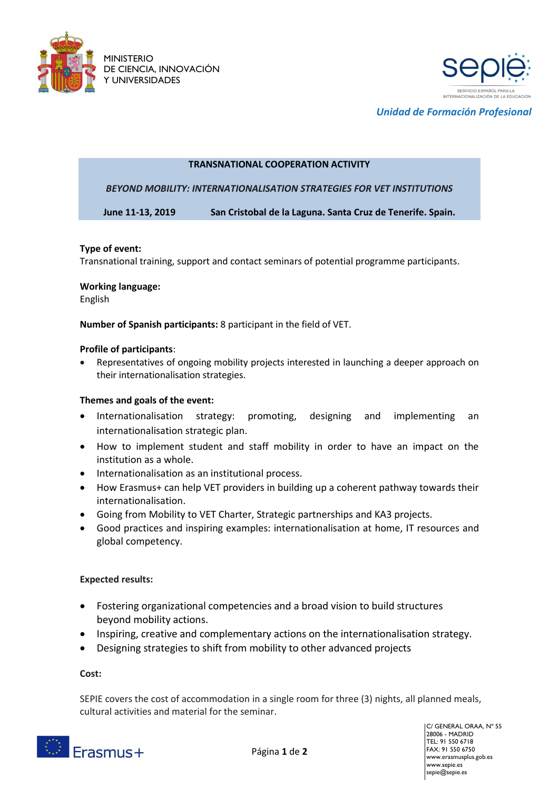



*Unidad de Formación Profesional*

### **TRANSNATIONAL COOPERATION ACTIVITY**

*BEYOND MOBILITY: INTERNATIONALISATION STRATEGIES FOR VET INSTITUTIONS*

**June 11-13, 2019 San Cristobal de la Laguna. Santa Cruz de Tenerife. Spain.**

### **Type of event:**

Transnational training, support and contact seminars of potential programme participants.

### **Working language:**

English

**Number of Spanish participants:** 8 participant in the field of VET.

### **Profile of participants**:

 Representatives of ongoing mobility projects interested in launching a deeper approach on their internationalisation strategies.

# **Themes and goals of the event:**

- Internationalisation strategy: promoting, designing and implementing an internationalisation strategic plan.
- How to implement student and staff mobility in order to have an impact on the institution as a whole.
- Internationalisation as an institutional process.
- How Erasmus+ can help VET providers in building up a coherent pathway towards their internationalisation.
- Going from Mobility to VET Charter, Strategic partnerships and KA3 projects.
- Good practices and inspiring examples: internationalisation at home, IT resources and global competency.

# **Expected results:**

- Fostering organizational competencies and a broad vision to build structures beyond mobility actions.
- Inspiring, creative and complementary actions on the internationalisation strategy.
- Designing strategies to shift from mobility to other advanced projects

#### **Cost:**

SEPIE covers the cost of accommodation in a single room for three (3) nights, all planned meals, cultural activities and material for the seminar.